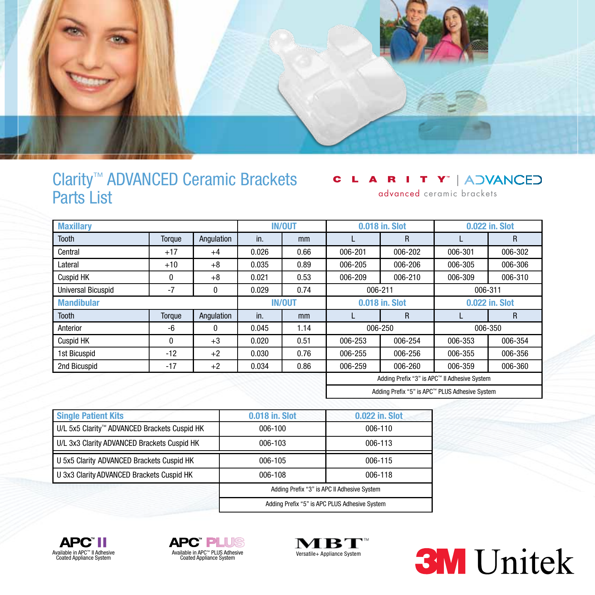

### Clarity™ ADVANCED Ceramic Brackets Parts List

#### A R I T Y" | ADVANCED C

advanced ceramic brackets

| <b>Maxillary</b>   |        |               | <b>IN/OUT</b> |                | 0.018 in. Slot                                 |                | 0.022 in. Slot |         |
|--------------------|--------|---------------|---------------|----------------|------------------------------------------------|----------------|----------------|---------|
| <b>Tooth</b>       | Torque | Angulation    | in.           | mm             |                                                | R              |                | R       |
| Central            | $+17$  | $+4$          | 0.026         | 0.66           | 006-201                                        | 006-202        | 006-301        | 006-302 |
| Lateral            | $+10$  | $+8$          | 0.035         | 0.89           | 006-205                                        | 006-206        | 006-305        | 006-306 |
| Cuspid HK          | 0      | $+8$          | 0.021         | 0.53           | 006-209                                        | 006-210        | 006-309        | 006-310 |
| Universal Bicuspid | $-7$   | $\mathbf{0}$  | 0.029         | 0.74           | 006-211                                        |                | 006-311        |         |
| <b>Mandibular</b>  |        | <b>IN/OUT</b> |               | 0.018 in. Slot |                                                | 0.022 in. Slot |                |         |
| <b>Tooth</b>       | Torque | Angulation    | in.           | mm             |                                                | R              |                | R       |
| Anterior           | -6     | $\mathbf{0}$  | 0.045         | 1.14           | 006-350<br>006-250                             |                |                |         |
| <b>Cuspid HK</b>   | 0      | $+3$          | 0.020         | 0.51           | 006-253                                        | 006-254        | 006-353        | 006-354 |
| 1st Bicuspid       | $-12$  | $+2$          | 0.030         | 0.76           | 006-255                                        | 006-256        | 006-355        | 006-356 |
| 2nd Bicuspid       | $-17$  | $+2$          | 0.034         | 0.86           | 006-259                                        | 006-260        | 006-359        | 006-360 |
|                    |        |               |               |                | Adding Prefix "3" is APC™ II Adhesive System   |                |                |         |
|                    |        |               |               |                | Adding Prefix "5" is APC™ PLUS Adhesive System |                |                |         |

| <b>Single Patient Kits</b>                   | 0.018 in. Slot                                | 0.022 in. Slot |  |  |
|----------------------------------------------|-----------------------------------------------|----------------|--|--|
| U/L 5x5 Clarity™ ADVANCED Brackets Cuspid HK | 006-100                                       | 006-110        |  |  |
| U/L 3x3 Clarity ADVANCED Brackets Cuspid HK  | 006-103                                       | 006-113        |  |  |
| U 5x5 Clarity ADVANCED Brackets Cuspid HK    | 006-105                                       | 006-115        |  |  |
| U 3x3 Clarity ADVANCED Brackets Cuspid HK    | 006-108                                       | 006-118        |  |  |
|                                              | Adding Prefix "3" is APC II Adhesive System   |                |  |  |
|                                              | Adding Prefix "5" is APC PLUS Adhesive System |                |  |  |





г Versatile+ Appliance System